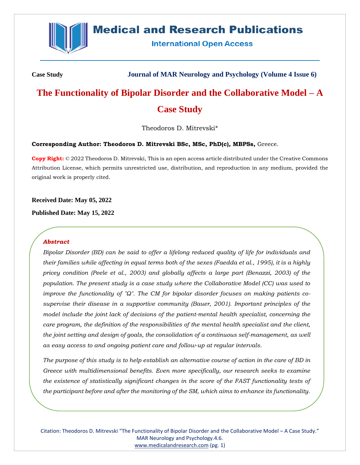

# **Medical and Research Publications**

**International Open Access** 

**Case Study Journal of MAR Neurology and Psychology (Volume 4 Issue 6)**

# **The Functionality of Bipolar Disorder and the Collaborative Model – A Case Study**

Theodoros D. Mitrevski\*

# **Corresponding Author: Theodoros D. Mitrevski BSc, MSc, PhD(c), MBPSs,** Greece.

**Copy Right:** © 2022 Theodoros D. Mitrevski, This is an open access article distributed under the Creative Commons Attribution License, which permits unrestricted use, distribution, and reproduction in any medium, provided the original work is properly cited.

**Received Date: May 05, 2022**

**Published Date: May 15, 2022**

# *Abstract*

*Bipolar Disorder (BD) can be said to offer a lifelong reduced quality of life for individuals and their families while affecting in equal terms both of the sexes (Faedda et al., 1995), it is a highly pricey condition (Peele et al., 2003) and globally affects a large part (Benazzi, 2003) of the population. The present study is a case study where the Collaborative Model (CC) was used to improve the functionality of "Ω". The CM for bipolar disorder focuses on making patients cosupervise their disease in a supportive community (Bauer, 2001). Important principles of the model include the joint lack of decisions of the patient-mental health specialist, concerning the care program, the definition of the responsibilities of the mental health specialist and the client, the joint setting and design of goals, the consolidation of a continuous self-management, as well as easy access to and ongoing patient care and follow-up at regular intervals.*

*The purpose of this study is to help establish an alternative course of action in the care of BD in Greece with multidimensional benefits. Even more specifically, our research seeks to examine the existence of statistically significant changes in the score of the FAST functionality tests of the participant before and after the monitoring of the SM, which aims to enhance its functionality.*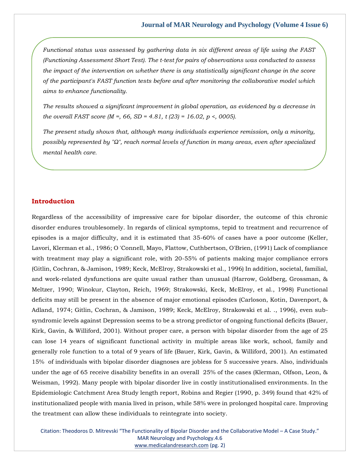*Functional status was assessed by gathering data in six different areas of life using the FAST (Functioning Assessment Short Test). The t-test for pairs of observations was conducted to assess the impact of the intervention on whether there is any statistically significant change in the score of the participant's FAST function tests before and after monitoring the collaborative model which aims to enhance functionality.*

*The results showed a significant improvement in global operation, as evidenced by a decrease in the overall FAST score (M =, 66, SD = 4.81, t (23) = 16.02, p <, 0005).*

*The present study shows that, although many individuals experience remission, only a minority, possibly represented by "Ω", reach normal levels of function in many areas, even after specialized mental health care.*

#### **Introduction**

Regardless of the accessibility of impressive care for bipolar disorder, the outcome of this chronic disorder endures troublesomely. In regards of clinical symptoms, tepid to treatment and recurrence of episodes is a major difficulty, and it is estimated that 35-60% of cases have a poor outcome (Keller, Lavori, Klerman et al., 1986; O 'Connell, Mayo, Flattow, Cuthbertson, O'Brien, (1991) Lack of compliance with treatment may play a significant role, with 20-55% of patients making major compliance errors (Gitlin, Cochran, & Jamison, 1989; Keck, McElroy, Strakowski et al., 1996) In addition, societal, familial, and work-related dysfunctions are quite usual rather than unusual (Harrow, Goldberg, Grossman, & Meltzer, 1990; Winokur, Clayton, Reich, 1969; Strakowski, Keck, McElroy, et al., 1998) Functional deficits may still be present in the absence of major emotional episodes (Carloson, Kotin, Davenport, & Adland, 1974; Gitlin, Cochran, & Jamison, 1989; Keck, McElroy, Strakowski et al. ., 1996), even subsyndromic levels against Depression seems to be a strong predictor of ongoing functional deficits (Bauer, Kirk, Gavin, & Williford, 2001). Without proper care, a person with bipolar disorder from the age of 25 can lose 14 years of significant functional activity in multiple areas like work, school, family and generally role function to a total of 9 years of life (Bauer, Kirk, Gavin, & Williford, 2001). An estimated 15% of individuals with bipolar disorder diagnoses are jobless for 5 successive years. Also, individuals under the age of 65 receive disability benefits in an overall 25% of the cases (Klerman, Olfson, Leon, & Weisman, 1992). Many people with bipolar disorder live in costly institutionalised environments. In the Epidemiologic Catchment Area Study length report, Robins and Regier (1990, p. 349) found that 42% of institutionalized people with mania lived in prison, while 58% were in prolonged hospital care. Improving the treatment can allow these individuals to reintegrate into society.

Citation: Theodoros D. Mitrevski "The Functionality of Bipolar Disorder and the Collaborative Model – A Case Study." MAR Neurology and Psychology.4.6 [www.medicalandresearch.com](http://www.medicalandresearch.com/) (pg. 2)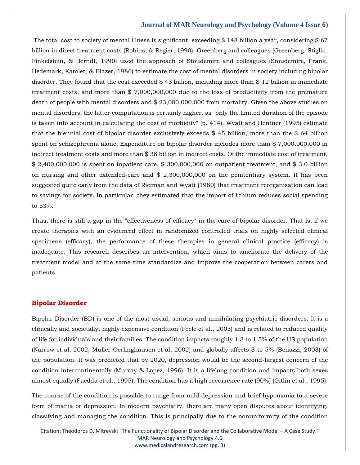The total cost to society of mental illness is significant, exceeding \$ 148 billion a year, considering \$ 67 billion in direct treatment costs (Robins, & Regier, 1990). Greenberg and colleagues (Greenberg, Stiglin, Finkelstein, & Berndt, 1990) used the approach of Stoudemire and colleagues (Stoudemire, Frank, Hedemark, Kamlet, & Blazer, 1986) to estimate the cost of mental disorders in society including bipolar disorder. They found that the cost exceeded \$ 43 billion, including more than \$ 12 billion in immediate treatment costs, and more than \$ 7,000,000,000 due to the loss of productivity from the premature death of people with mental disorders and \$ 23,000,000,000 from mortality. Given the above studies on mental disorders, the latter computation is certainly higher, as "only the limited duration of the episode is taken into account in calculating the cost of morbidity" (p. 414). Wyatt and Hentner (1995) estimate that the biennial cost of bipolar disorder exclusively exceeds \$ 45 billion, more than the \$ 64 billion spent on schizophrenia alone. Expenditure on bipolar disorder includes more than \$ 7,000,000,000 in indirect treatment costs and more than \$ 38 billion in indirect costs. Of the immediate cost of treatment, \$ 2,400,000,000 is spent on inpatient care, \$ 300,000,000 on outpatient treatment, and \$ 3.0 billion on nursing and other extended-care and \$ 2,300,000,000 on the penitentiary system. It has been suggested quite early from the data of Riefman and Wyatt (1980) that treatment reorganisation can lead to savings for society. In particular, they estimated that the import of lithium reduces social spending to 53%.

Thus, there is still a gap in the "effectiveness of efficacy" in the care of bipolar disorder. That is, if we create therapies with an evidenced effect in randomized controlled trials on highly selected clinical specimens (efficacy), the performance of these therapies in general clinical practice (efficacy) is inadequate. This research describes an intervention, which aims to ameliorate the delivery of the treatment model and at the same time standardize and improve the cooperation between carers and patients.

# **Bipolar Disorder**

Bipolar Disorder (BD) is one of the most usual, serious and annihilating psychiatric disorders. It is a clinically and societally, highly expensive condition (Peele et al., 2003) and is related to reduced quality of life for individuals and their families. The condition impacts roughly 1.3 to 1.5% of the US population (Narrow et al, 2002; Muller-Oerlinghausen et al, 2002) and globally affects 3 to 5% (Benazzi, 2003) of the population. It was predicted that by 2020, depression would be the second-largest concern of the condition intercontinentally (Murray & Lopez, 1996). It is a lifelong condition and impacts both sexes almost equally (Faedda et al., 1995). The condition has a high recurrence rate (90%) (Gitlin et al., 1995).

The course of the condition is possible to range from mild depression and brief hypomania to a severe form of mania or depression. In modern psychiatry, there are many open disputes about identifying, classifying and managing the condition. This is principally due to the nonuniformity of the condition

Citation: Theodoros D. Mitrevski "The Functionality of Bipolar Disorder and the Collaborative Model – A Case Study." MAR Neurology and Psychology.4.6 [www.medicalandresearch.com](http://www.medicalandresearch.com/) (pg. 3)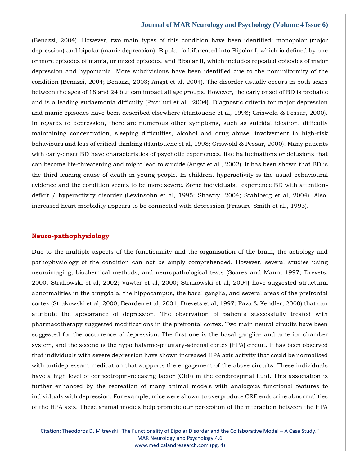(Benazzi, 2004). However, two main types of this condition have been identified: monopolar (major depression) and bipolar (manic depression). Bipolar is bifurcated into Bipolar I, which is defined by one or more episodes of mania, or mixed episodes, and Bipolar II, which includes repeated episodes of major depression and hypomania. More subdivisions have been identified due to the nonuniformity of the condition (Benazzi, 2004; Benazzi, 2003; Angst et al, 2004). The disorder usually occurs in both sexes between the ages of 18 and 24 but can impact all age groups. However, the early onset of BD is probable and is a leading eudaemonia difficulty (Pavuluri et al., 2004). Diagnostic criteria for major depression and manic episodes have been described elsewhere (Hantouche et al, 1998; Griswold & Pessar, 2000). In regards to depression, there are numerous other symptoms, such as suicidal ideation, difficulty maintaining concentration, sleeping difficulties, alcohol and drug abuse, involvement in high-risk behaviours and loss of critical thinking (Hantouche et al, 1998; Griswold & Pessar, 2000). Many patients with early-onset BD have characteristics of psychotic experiences, like hallucinations or delusions that can become life-threatening and might lead to suicide (Angst et al., 2002). It has been shown that BD is the third leading cause of death in young people. In children, hyperactivity is the usual behavioural evidence and the condition seems to be more severe. Some individuals, experience BD with attentiondeficit / hyperactivity disorder (Lewinsohn et al, 1995; Shastry, 2004; Stahlberg et al, 2004). Also, increased heart morbidity appears to be connected with depression (Frasure-Smith et al., 1993).

# **Neuro-pathophysiology**

Due to the multiple aspects of the functionality and the organisation of the brain, the aetiology and pathophysiology of the condition can not be amply comprehended. However, several studies using neuroimaging, biochemical methods, and neuropathological tests (Soares and Mann, 1997; Drevets, 2000; Strakowski et al, 2002; Vawter et al, 2000; Strakowski et al, 2004) have suggested structural abnormalities in the amygdala, the hippocampus, the basal ganglia, and several areas of the prefrontal cortex (Strakowski et al, 2000; Bearden et al, 2001; Drevets et al, 1997; Fava & Kendler, 2000) that can attribute the appearance of depression. The observation of patients successfully treated with pharmacotherapy suggested modifications in the prefrontal cortex. Two main neural circuits have been suggested for the occurrence of depression. The first one is the basal ganglia- and anterior chamber system, and the second is the hypothalamic-pituitary-adrenal cortex (HPA) circuit. It has been observed that individuals with severe depression have shown increased HPA axis activity that could be normalized with antidepressant medication that supports the engagement of the above circuits. These individuals have a high level of corticotropin-releasing factor (CRF) in the cerebrospinal fluid. This association is further enhanced by the recreation of many animal models with analogous functional features to individuals with depression. For example, mice were shown to overproduce CRF endocrine abnormalities of the HPA axis. These animal models help promote our perception of the interaction between the HPA

Citation: Theodoros D. Mitrevski "The Functionality of Bipolar Disorder and the Collaborative Model – A Case Study." MAR Neurology and Psychology.4.6 [www.medicalandresearch.com](http://www.medicalandresearch.com/) (pg. 4)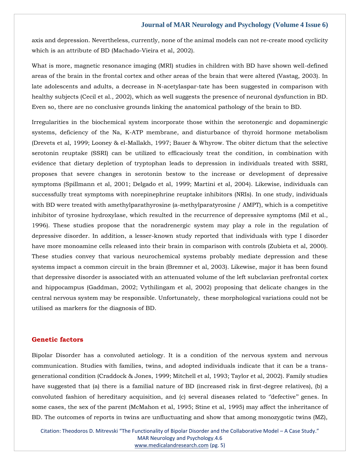axis and depression. Nevertheless, currently, none of the animal models can not re-create mood cyclicity which is an attribute of BD (Machado-Vieira et al, 2002).

What is more, magnetic resonance imaging (MRI) studies in children with BD have shown well-defined areas of the brain in the frontal cortex and other areas of the brain that were altered (Vastag, 2003). In late adolescents and adults, a decrease in N-acetylaspar-tate has been suggested in comparison with healthy subjects (Cecil et al., 2002), which as well suggests the presence of neuronal dysfunction in BD. Even so, there are no conclusive grounds linking the anatomical pathology of the brain to BD.

Irregularities in the biochemical system incorporate those within the serotonergic and dopaminergic systems, deficiency of the Na, K-ATP membrane, and disturbance of thyroid hormone metabolism (Drevets et al, 1999; Looney & el-Mallakh, 1997; Bauer & Whyrow. The obiter dictum that the selective serotonin reuptake (SSRI) can be utilized to efficaciously treat the condition, in combination with evidence that dietary depletion of tryptophan leads to depression in individuals treated with SSRI, proposes that severe changes in serotonin bestow to the increase or development of depressive symptoms (Spillmann et al, 2001; Delgado et al, 1999; Martini et al, 2004). Likewise, individuals can successfully treat symptoms with norepinephrine reuptake inhibitors (NRIs). In one study, individuals with BD were treated with amethylparathyrosine (a-methylparatyrosine / AMPT), which is a competitive inhibitor of tyrosine hydroxylase, which resulted in the recurrence of depressive symptoms (Mil et al., 1996). These studies propose that the noradrenergic system may play a role in the regulation of depressive disorder. In addition, a lesser-known study reported that individuals with type I disorder have more monoamine cells released into their brain in comparison with controls (Zubieta et al, 2000). These studies convey that various neurochemical systems probably mediate depression and these systems impact a common circuit in the brain (Bremner et al, 2003). Likewise, major it has been found that depressive disorder is associated with an attenuated volume of the left subclavian prefrontal cortex and hippocampus (Gaddman, 2002; Vythilingam et al, 2002) proposing that delicate changes in the central nervous system may be responsible. Unfortunately, these morphological variations could not be utilised as markers for the diagnosis of BD.

# **Genetic factors**

Bipolar Disorder has a convoluted aetiology. It is a condition of the nervous system and nervous communication. Studies with families, twins, and adopted individuals indicate that it can be a transgenerational condition (Craddock & Jones, 1999; Mitchell et al, 1993; Taylor et al, 2002). Family studies have suggested that (a) there is a familial nature of BD (increased risk in first-degree relatives), (b) a convoluted fashion of hereditary acquisition, and (c) several diseases related to ''defective'' genes. In some cases, the sex of the parent (McMahon et al, 1995; Stine et al, 1995) may affect the inheritance of BD. The outcomes of reports in twins are unfluctuating and show that among monozygotic twins (MZ),

Citation: Theodoros D. Mitrevski "The Functionality of Bipolar Disorder and the Collaborative Model – A Case Study." MAR Neurology and Psychology.4.6 [www.medicalandresearch.com](http://www.medicalandresearch.com/) (pg. 5)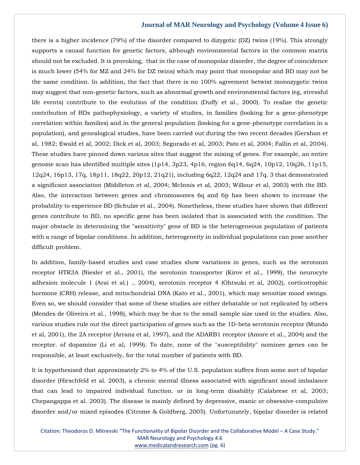there is a higher incidence (79%) of the disorder compared to dizygotic (DZ) twins (19%). This strongly supports a causal function for genetic factors, although environmental factors in the common matrix should not be excluded. It is provoking, that in the case of monopolar disorder, the degree of coincidence is much lower (54% for MZ and 24% for DZ twins) which may point that monopolar and BD may not be the same condition. In addition, the fact that there is no 100% agreement betwixt monozygotic twins may suggest that non-genetic factors, such as abnormal growth and environmental factors (eg, stressful life events) contribute to the evolution of the condition (Duffy et al., 2000). To realize the genetic contribution of BDs pathophysiology, a variety of studies, in families (looking for a gene-phenotype correlation within families) and in the general population (looking for a gene-phenotype correlation in a population), and genealogical studies, have been carried out during the two recent decades (Gershon et al, 1982; Ewald et al, 2002; Dick et al, 2003; Segurado et al, 2003; Pato et al, 2004; Fallin et al, 2004). These studies have pinned down various sites that suggest the mixing of genes. For example, an entire genome scan has identified multiple sites (1p14, 3p23, 4p16, region 6q14, 6q24, 10p12, 10q26, 11p15, 12q24, 16p13, 17q, 18p11, 18q22, 20p12, 21q21), including 6q22, 12q24 and 17q. 3 that demonstrated a significant association (Middleton et al, 2004; McInnis et al, 2003; Willour et al, 2003) with the BD. Also, the interaction between genes and chromosomes 6q and 6p has been shown to increase the probability to experience BD (Schulze et al., 2004). Nonetheless, these studies have shown that different genes contribute to BD, no specific gene has been isolated that is associated with the condition. The major obstacle in determining the "sensitivity" gene of BD is the heterogeneous population of patients with a range of bipolar conditions. In addition, heterogeneity in individual populations can pose another difficult problem.

In addition, family-based studies and case studies show variations in genes, such as the serotonin receptor HTR3A (Niesler et al., 2001), the serotonin transporter (Kirov et al., 1999), the neurocyte adhesion molecule 1 (Arai et al.) ., 2004), serotonin receptor 4 (Ohtsuki et al, 2002), corticotrophic hormone (CRH) release, and mitochondrial DNA (Kato et al., 2001), which may sensitize mood swings. Even so, we should consider that some of these studies are either debatable or not replicated by others (Mendes de Oliveira et al., 1998), which may be due to the small sample size used in the studies. Also, various studies rule out the direct participation of genes such as the 1D-beta serotonin receptor (Mundo et al, 2001), the 2A receptor (Arranz et al, 1997), and the ADARB1 receptor (Amore et al., 2004) and the receptor. of dopamine (Li et al, 1999). To date, none of the "susceptibility" nominee genes can be responsible, at least exclusively, for the total number of patients with BD.

It is hypothesised that approximately 2% to 4% of the U.S. population suffers from some sort of bipolar disorder (Hirschfeld et al. 2003), a chronic mental illness associated with significant mood imbalance that can lead to impaired individual function. or in long-term disability (Calabrese et al, 2003; Chepangappa et al. 2003). The disease is mainly defined by depressive, manic or obsessive-compulsive disorder and/or mixed episodes (Citrome & Goldberg, 2005). Unfortunately, bipolar disorder is related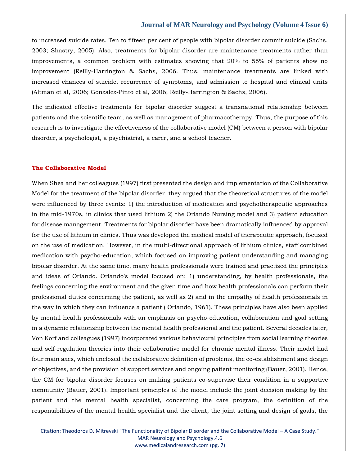to increased suicide rates. Ten to fifteen per cent of people with bipolar disorder commit suicide (Sachs, 2003; Shastry, 2005). Also, treatments for bipolar disorder are maintenance treatments rather than improvements, a common problem with estimates showing that 20% to 55% of patients show no improvement (Reilly-Harrington & Sachs, 2006. Thus, maintenance treatments are linked with increased chances of suicide, recurrence of symptoms, and admission to hospital and clinical units (Altman et al, 2006; Gonzalez-Pinto et al, 2006; Reilly-Harrington & Sachs, 2006).

The indicated effective treatments for bipolar disorder suggest a transnational relationship between patients and the scientific team, as well as management of pharmacotherapy. Thus, the purpose of this research is to investigate the effectiveness of the collaborative model (CM) between a person with bipolar disorder, a psychologist, a psychiatrist, a carer, and a school teacher.

## **The Collaborative Model**

When Shea and her colleagues (1997) first presented the design and implementation of the Collaborative Model for the treatment of the bipolar disorder, they argued that the theoretical structures of the model were influenced by three events: 1) the introduction of medication and psychotherapeutic approaches in the mid-1970s, in clinics that used lithium 2) the Orlando Nursing model and 3) patient education for disease management. Treatments for bipolar disorder have been dramatically influenced by approval for the use of lithium in clinics. Thus was developed the medical model of therapeutic approach, focused on the use of medication. However, in the multi-directional approach of lithium clinics, staff combined medication with psycho-education, which focused on improving patient understanding and managing bipolar disorder. At the same time, many health professionals were trained and practised the principles and ideas of Orlando. Orlando's model focused on: 1) understanding, by health professionals, the feelings concerning the environment and the given time and how health professionals can perform their professional duties concerning the patient, as well as 2) and in the empathy of health professionals in the way in which they can influence a patient ( Orlando, 1961). These principles have also been applied by mental health professionals with an emphasis on psycho-education, collaboration and goal setting in a dynamic relationship between the mental health professional and the patient. Several decades later, Von Korf and colleagues (1997) incorporated various behavioural principles from social learning theories and self-regulation theories into their collaborative model for chronic mental illness. Their model had four main axes, which enclosed the collaborative definition of problems, the co-establishment and design of objectives, and the provision of support services and ongoing patient monitoring (Bauer, 2001). Hence, the CM for bipolar disorder focuses on making patients co-supervise their condition in a supportive community (Bauer, 2001). Important principles of the model include the joint decision making by the patient and the mental health specialist, concerning the care program, the definition of the responsibilities of the mental health specialist and the client, the joint setting and design of goals, the

Citation: Theodoros D. Mitrevski "The Functionality of Bipolar Disorder and the Collaborative Model – A Case Study." MAR Neurology and Psychology.4.6 [www.medicalandresearch.com](http://www.medicalandresearch.com/) (pg. 7)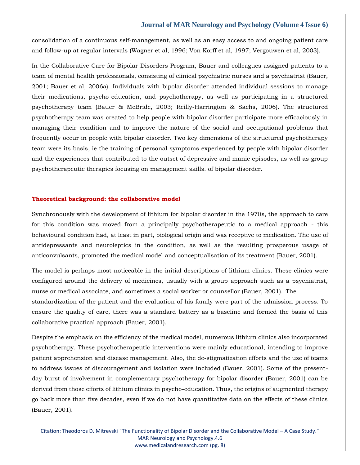consolidation of a continuous self-management, as well as an easy access to and ongoing patient care and follow-up at regular intervals (Wagner et al, 1996; Von Korff et al, 1997; Vergouwen et al, 2003).

In the Collaborative Care for Bipolar Disorders Program, Bauer and colleagues assigned patients to a team of mental health professionals, consisting of clinical psychiatric nurses and a psychiatrist (Bauer, 2001; Bauer et al, 2006a). Individuals with bipolar disorder attended individual sessions to manage their medications, psycho-education, and psychotherapy, as well as participating in a structured psychotherapy team (Bauer & McBride, 2003; Reilly-Harrington & Sachs, 2006). The structured psychotherapy team was created to help people with bipolar disorder participate more efficaciously in managing their condition and to improve the nature of the social and occupational problems that frequently occur in people with bipolar disorder. Two key dimensions of the structured psychotherapy team were its basis, ie the training of personal symptoms experienced by people with bipolar disorder and the experiences that contributed to the outset of depressive and manic episodes, as well as group psychotherapeutic therapies focusing on management skills. of bipolar disorder.

#### **Theoretical background: the collaborative model**

Synchronously with the development of lithium for bipolar disorder in the 1970s, the approach to care for this condition was moved from a principally psychotherapeutic to a medical approach - this behavioural condition had, at least in part, biological origin and was receptive to medication. The use of antidepressants and neuroleptics in the condition, as well as the resulting prosperous usage of anticonvulsants, promoted the medical model and conceptualisation of its treatment (Bauer, 2001).

The model is perhaps most noticeable in the initial descriptions of lithium clinics. These clinics were configured around the delivery of medicines, usually with a group approach such as a psychiatrist, nurse or medical associate, and sometimes a social worker or counsellor (Bauer, 2001). The standardization of the patient and the evaluation of his family were part of the admission process. To ensure the quality of care, there was a standard battery as a baseline and formed the basis of this collaborative practical approach (Bauer, 2001).

Despite the emphasis on the efficiency of the medical model, numerous lithium clinics also incorporated psychotherapy. These psychotherapeutic interventions were mainly educational, intending to improve patient apprehension and disease management. Also, the de-stigmatization efforts and the use of teams to address issues of discouragement and isolation were included (Bauer, 2001). Some of the presentday burst of involvement in complementary psychotherapy for bipolar disorder (Bauer, 2001) can be derived from those efforts of lithium clinics in psycho-education. Thus, the origins of augmented therapy go back more than five decades, even if we do not have quantitative data on the effects of these clinics (Bauer, 2001).

Citation: Theodoros D. Mitrevski "The Functionality of Bipolar Disorder and the Collaborative Model – A Case Study." MAR Neurology and Psychology.4.6 [www.medicalandresearch.com](http://www.medicalandresearch.com/) (pg. 8)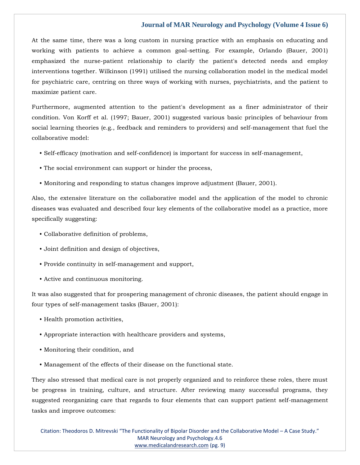At the same time, there was a long custom in nursing practice with an emphasis on educating and working with patients to achieve a common goal-setting. For example, Orlando (Bauer, 2001) emphasized the nurse-patient relationship to clarify the patient's detected needs and employ interventions together. Wilkinson (1991) utilised the nursing collaboration model in the medical model for psychiatric care, centring on three ways of working with nurses, psychiatrists, and the patient to maximize patient care.

Furthermore, augmented attention to the patient's development as a finer administrator of their condition. Von Korff et al. (1997; Bauer, 2001) suggested various basic principles of behaviour from social learning theories (e.g., feedback and reminders to providers) and self-management that fuel the collaborative model:

- Self-efficacy (motivation and self-confidence) is important for success in self-management,
- The social environment can support or hinder the process,
- Monitoring and responding to status changes improve adjustment (Bauer, 2001).

Also, the extensive literature on the collaborative model and the application of the model to chronic diseases was evaluated and described four key elements of the collaborative model as a practice, more specifically suggesting:

- Collaborative definition of problems,
- Joint definition and design of objectives,
- Provide continuity in self-management and support,
- Active and continuous monitoring.

It was also suggested that for prospering management of chronic diseases, the patient should engage in four types of self-management tasks (Bauer, 2001):

- Health promotion activities,
- Appropriate interaction with healthcare providers and systems,
- Monitoring their condition, and
- Management of the effects of their disease on the functional state.

They also stressed that medical care is not properly organized and to reinforce these roles, there must be progress in training, culture, and structure. After reviewing many successful programs, they suggested reorganizing care that regards to four elements that can support patient self-management tasks and improve outcomes:

Citation: Theodoros D. Mitrevski "The Functionality of Bipolar Disorder and the Collaborative Model – A Case Study." MAR Neurology and Psychology.4.6 [www.medicalandresearch.com](http://www.medicalandresearch.com/) (pg. 9)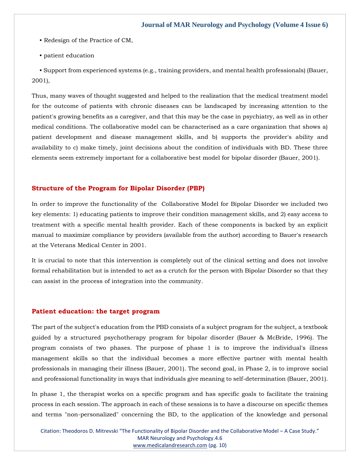- Redesign of the Practice of CM,
- patient education

 • Support from experienced systems (e.g., training providers, and mental health professionals) (Bauer, 2001),

Thus, many waves of thought suggested and helped to the realization that the medical treatment model for the outcome of patients with chronic diseases can be landscaped by increasing attention to the patient's growing benefits as a caregiver, and that this may be the case in psychiatry, as well as in other medical conditions. The collaborative model can be characterised as a care organization that shows a) patient development and disease management skills, and b) supports the provider's ability and availability to c) make timely, joint decisions about the condition of individuals with BD. These three elements seem extremely important for a collaborative best model for bipolar disorder (Bauer, 2001).

### **Structure of the Program for Bipolar Disorder (PBP)**

In order to improve the functionality of the Collaborative Model for Bipolar Disorder we included two key elements: 1) educating patients to improve their condition management skills, and 2) easy access to treatment with a specific mental health provider. Each of these components is backed by an explicit manual to maximize compliance by providers (available from the author) according to Bauer's research at the Veterans Medical Center in 2001.

It is crucial to note that this intervention is completely out of the clinical setting and does not involve formal rehabilitation but is intended to act as a crutch for the person with Bipolar Disorder so that they can assist in the process of integration into the community.

#### **Patient education: the target program**

The part of the subject's education from the PBD consists of a subject program for the subject, a textbook guided by a structured psychotherapy program for bipolar disorder (Bauer & McBride, 1996). The program consists of two phases. The purpose of phase 1 is to improve the individual's illness management skills so that the individual becomes a more effective partner with mental health professionals in managing their illness (Bauer, 2001). The second goal, in Phase 2, is to improve social and professional functionality in ways that individuals give meaning to self-determination (Bauer, 2001).

In phase 1, the therapist works on a specific program and has specific goals to facilitate the training process in each session. The approach in each of these sessions is to have a discourse on specific themes and terms "non-personalized" concerning the BD, to the application of the knowledge and personal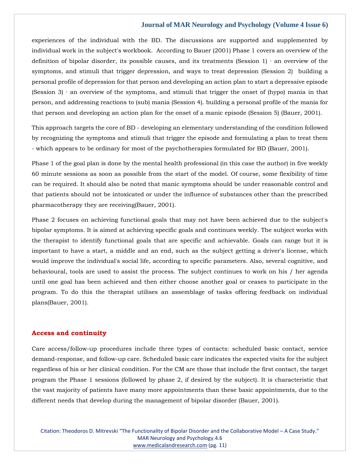experiences of the individual with the BD. The discussions are supported and supplemented by individual work in the subject's workbook. According to Bauer (2001) Phase 1 covers an overview of the definition of bipolar disorder, its possible causes, and its treatments (Session 1) ∙ an overview of the symptoms, and stimuli that trigger depression, and ways to treat depression (Session 2) building a personal profile of depression for that person and developing an action plan to start a depressive episode (Session 3) ∙ an overview of the symptoms, and stimuli that trigger the onset of (hypo) mania in that person, and addressing reactions to (sub) mania (Session 4). building a personal profile of the mania for that person and developing an action plan for the onset of a manic episode (Session 5) (Bauer, 2001).

This approach targets the core of BD - developing an elementary understanding of the condition followed by recognizing the symptoms and stimuli that trigger the episode and formulating a plan to treat them - which appears to be ordinary for most of the psychotherapies formulated for BD (Bauer, 2001).

Phase 1 of the goal plan is done by the mental health professional (in this case the author) in five weekly 60 minute sessions as soon as possible from the start of the model. Of course, some flexibility of time can be required. It should also be noted that manic symptoms should be under reasonable control and that patients should not be intoxicated or under the influence of substances other than the prescribed pharmacotherapy they are receiving(Bauer, 2001).

Phase 2 focuses on achieving functional goals that may not have been achieved due to the subject's bipolar symptoms. It is aimed at achieving specific goals and continues weekly. The subject works with the therapist to identify functional goals that are specific and achievable. Goals can range but it is important to have a start, a middle and an end, such as the subject getting a driver's license, which would improve the individual's social life, according to specific parameters. Also, several cognitive, and behavioural, tools are used to assist the process. The subject continues to work on his / her agenda until one goal has been achieved and then either choose another goal or ceases to participate in the program. To do this the therapist utilises an assemblage of tasks offering feedback on individual plans(Bauer, 2001).

## **Access and continuity**

Care access/follow-up procedures include three types of contacts: scheduled basic contact, service demand-response, and follow-up care. Scheduled basic care indicates the expected visits for the subject regardless of his or her clinical condition. For the CM are those that include the first contact, the target program the Phase 1 sessions (followed by phase 2, if desired by the subject). It is characteristic that the vast majority of patients have many more appointments than these basic appointments, due to the different needs that develop during the management of bipolar disorder (Bauer, 2001).

Citation: Theodoros D. Mitrevski "The Functionality of Bipolar Disorder and the Collaborative Model – A Case Study." MAR Neurology and Psychology.4.6 [www.medicalandresearch.com](http://www.medicalandresearch.com/) (pg. 11)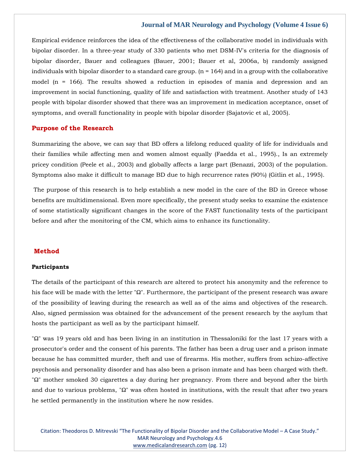Empirical evidence reinforces the idea of the effectiveness of the collaborative model in individuals with bipolar disorder. In a three-year study of 330 patients who met DSM-IV's criteria for the diagnosis of bipolar disorder, Bauer and colleagues (Bauer, 2001; Bauer et al, 2006a, b) randomly assigned individuals with bipolar disorder to a standard care group.  $(n = 164)$  and in a group with the collaborative model (n = 166). The results showed a reduction in episodes of mania and depression and an improvement in social functioning, quality of life and satisfaction with treatment. Another study of 143 people with bipolar disorder showed that there was an improvement in medication acceptance, onset of symptoms, and overall functionality in people with bipolar disorder (Sajatovic et al, 2005).

#### **Purpose of the Research**

Summarizing the above, we can say that BD offers a lifelong reduced quality of life for individuals and their families while affecting men and women almost equally (Faedda et al., 1995)., Is an extremely pricey condition (Peele et al., 2003) and globally affects a large part (Benazzi, 2003) of the population. Symptoms also make it difficult to manage BD due to high recurrence rates (90%) (Gitlin et al., 1995).

The purpose of this research is to help establish a new model in the care of the BD in Greece whose benefits are multidimensional. Even more specifically, the present study seeks to examine the existence of some statistically significant changes in the score of the FAST functionality tests of the participant before and after the monitoring of the CM, which aims to enhance its functionality.

# **Method**

#### **Participants**

The details of the participant of this research are altered to protect his anonymity and the reference to his face will be made with the letter "Ω". Furthermore, the participant of the present research was aware of the possibility of leaving during the research as well as of the aims and objectives of the research. Also, signed permission was obtained for the advancement of the present research by the asylum that hosts the participant as well as by the participant himself.

"Ω" was 19 years old and has been living in an institution in Thessaloniki for the last 17 years with a prosecutor's order and the consent of his parents. The father has been a drug user and a prison inmate because he has committed murder, theft and use of firearms. His mother, suffers from schizo-affective psychosis and personality disorder and has also been a prison inmate and has been charged with theft. "Ω" mother smoked 30 cigarettes a day during her pregnancy. From there and beyond after the birth and due to various problems, "Ω" was often hosted in institutions, with the result that after two years he settled permanently in the institution where he now resides.

Citation: Theodoros D. Mitrevski "The Functionality of Bipolar Disorder and the Collaborative Model – A Case Study." MAR Neurology and Psychology.4.6 [www.medicalandresearch.com](http://www.medicalandresearch.com/) (pg. 12)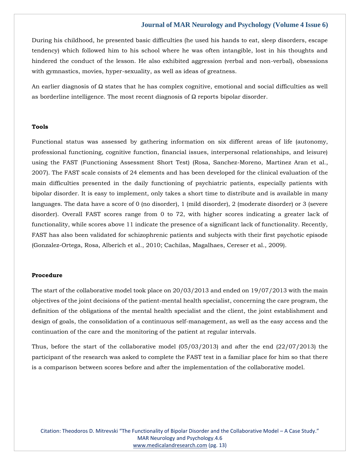During his childhood, he presented basic difficulties (he used his hands to eat, sleep disorders, escape tendency) which followed him to his school where he was often intangible, lost in his thoughts and hindered the conduct of the lesson. He also exhibited aggression (verbal and non-verbal), obsessions with gymnastics, movies, hyper-sexuality, as well as ideas of greatness.

An earlier diagnosis of  $\Omega$  states that he has complex cognitive, emotional and social difficulties as well as borderline intelligence. The most recent diagnosis of  $\Omega$  reports bipolar disorder.

## **Tools**

Functional status was assessed by gathering information on six different areas of life (autonomy, professional functioning, cognitive function, financial issues, interpersonal relationships, and leisure) using the FAST (Functioning Assessment Short Test) (Rosa, Sanchez-Moreno, Martinez Aran et al., 2007). The FAST scale consists of 24 elements and has been developed for the clinical evaluation of the main difficulties presented in the daily functioning of psychiatric patients, especially patients with bipolar disorder. It is easy to implement, only takes a short time to distribute and is available in many languages. The data have a score of 0 (no disorder), 1 (mild disorder), 2 (moderate disorder) or 3 (severe disorder). Overall FAST scores range from 0 to 72, with higher scores indicating a greater lack of functionality, while scores above 11 indicate the presence of a significant lack of functionality. Recently, FAST has also been validated for schizophrenic patients and subjects with their first psychotic episode (Gonzalez-Ortega, Rosa, Alberich et al., 2010; Cachilas, Magalhaes, Cereser et al., 2009).

#### **Procedure**

The start of the collaborative model took place on 20/03/2013 and ended on 19/07/2013 with the main objectives of the joint decisions of the patient-mental health specialist, concerning the care program, the definition of the obligations of the mental health specialist and the client, the joint establishment and design of goals, the consolidation of a continuous self-management, as well as the easy access and the continuation of the care and the monitoring of the patient at regular intervals.

Thus, before the start of the collaborative model (05/03/2013) and after the end (22/07/2013) the participant of the research was asked to complete the FAST test in a familiar place for him so that there is a comparison between scores before and after the implementation of the collaborative model.

Citation: Theodoros D. Mitrevski "The Functionality of Bipolar Disorder and the Collaborative Model – A Case Study." MAR Neurology and Psychology.4.6 [www.medicalandresearch.com](http://www.medicalandresearch.com/) (pg. 13)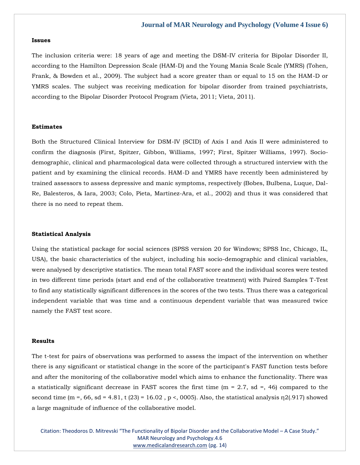#### **Issues**

The inclusion criteria were: 18 years of age and meeting the DSM-IV criteria for Bipolar Disorder II, according to the Hamilton Depression Scale (HAM-D) and the Young Mania Scale Scale (YMRS) (Tohen, Frank, & Bowden et al., 2009). The subject had a score greater than or equal to 15 on the HAM-D or YMRS scales. The subject was receiving medication for bipolar disorder from trained psychiatrists, according to the Bipolar Disorder Protocol Program (Vieta, 2011; Vieta, 2011).

#### **Estimates**

Both the Structured Clinical Interview for DSM-IV (SCID) of Axis I and Axis II were administered to confirm the diagnosis (First, Spitzer, Gibbon, Williams, 1997; First, Spitzer Williams, 1997). Sociodemographic, clinical and pharmacological data were collected through a structured interview with the patient and by examining the clinical records. HAM-D and YMRS have recently been administered by trained assessors to assess depressive and manic symptoms, respectively (Bobes, Bulbena, Luque, Dal-Re, Balesteros, & Iara, 2003; Colo, Pieta, Martinez-Ara, et al., 2002) and thus it was considered that there is no need to repeat them.

#### **Statistical Analysis**

Using the statistical package for social sciences (SPSS version 20 for Windows; SPSS Inc, Chicago, IL, USA), the basic characteristics of the subject, including his socio-demographic and clinical variables, were analysed by descriptive statistics. The mean total FAST score and the individual scores were tested in two different time periods (start and end of the collaborative treatment) with Paired Samples T-Test to find any statistically significant differences in the scores of the two tests. Thus there was a categorical independent variable that was time and a continuous dependent variable that was measured twice namely the FAST test score.

#### **Results**

The t-test for pairs of observations was performed to assess the impact of the intervention on whether there is any significant or statistical change in the score of the participant's FAST function tests before and after the monitoring of the collaborative model which aims to enhance the functionality. There was a statistically significant decrease in FAST scores the first time ( $m = 2.7$ , sd =, 46) compared to the second time (m =, 66, sd = 4.81, t (23) = 16.02, p <, 0005). Also, the statistical analysis  $\eta$ 2(.917) showed a large magnitude of influence of the collaborative model.

Citation: Theodoros D. Mitrevski "The Functionality of Bipolar Disorder and the Collaborative Model – A Case Study." MAR Neurology and Psychology.4.6 [www.medicalandresearch.com](http://www.medicalandresearch.com/) (pg. 14)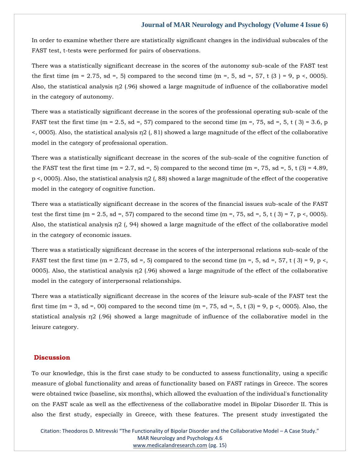In order to examine whether there are statistically significant changes in the individual subscales of the FAST test, t-tests were performed for pairs of observations.

There was a statistically significant decrease in the scores of the autonomy sub-scale of the FAST test the first time (m = 2.75, sd =, 5) compared to the second time (m =, 5, sd =, 57, t (3) = 9, p <, 0005). Also, the statistical analysis  $\eta$  (.96) showed a large magnitude of influence of the collaborative model in the category of autonomy.

There was a statistically significant decrease in the scores of the professional operating sub-scale of the FAST test the first time (m = 2.5, sd =, 57) compared to the second time (m =, 75, sd =, 5, t (3) = 3.6, p  $\leq$ , 0005). Also, the statistical analysis  $\eta$ 2 (, 81) showed a large magnitude of the effect of the collaborative model in the category of professional operation.

There was a statistically significant decrease in the scores of the sub-scale of the cognitive function of the FAST test the first time (m = 2.7, sd =, 5) compared to the second time (m =, 75, sd =, 5, t (3) = 4.89, p <, 0005). Also, the statistical analysis η2 (, 88) showed a large magnitude of the effect of the cooperative model in the category of cognitive function.

There was a statistically significant decrease in the scores of the financial issues sub-scale of the FAST test the first time (m = 2.5, sd =, 57) compared to the second time (m =, 75, sd =, 5, t (3) = 7, p <, 0005). Also, the statistical analysis η2 (, 94) showed a large magnitude of the effect of the collaborative model in the category of economic issues.

There was a statistically significant decrease in the scores of the interpersonal relations sub-scale of the FAST test the first time (m = 2.75, sd =, 5) compared to the second time (m =, 5, sd =, 57, t (3) = 9, p <, 0005). Also, the statistical analysis  $\eta$ 2 (.96) showed a large magnitude of the effect of the collaborative model in the category of interpersonal relationships.

There was a statistically significant decrease in the scores of the leisure sub-scale of the FAST test the first time (m = 3, sd =, 00) compared to the second time (m =, 75, sd =, 5, t (3) = 9, p <, 0005). Also, the statistical analysis η2 (.96) showed a large magnitude of influence of the collaborative model in the leisure category.

#### **Discussion**

To our knowledge, this is the first case study to be conducted to assess functionality, using a specific measure of global functionality and areas of functionality based on FAST ratings in Greece. The scores were obtained twice (baseline, six months), which allowed the evaluation of the individual's functionality on the FAST scale as well as the effectiveness of the collaborative model in Bipolar Disorder II. This is also the first study, especially in Greece, with these features. The present study investigated the

Citation: Theodoros D. Mitrevski "The Functionality of Bipolar Disorder and the Collaborative Model – A Case Study." MAR Neurology and Psychology.4.6 [www.medicalandresearch.com](http://www.medicalandresearch.com/) (pg. 15)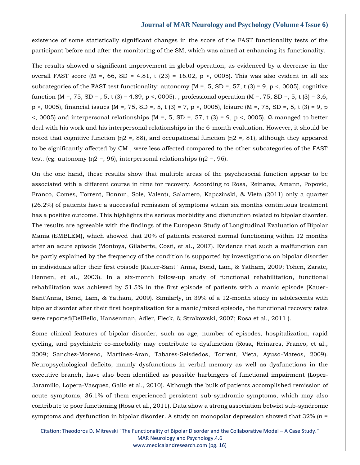existence of some statistically significant changes in the score of the FAST functionality tests of the participant before and after the monitoring of the SM, which was aimed at enhancing its functionality.

The results showed a significant improvement in global operation, as evidenced by a decrease in the overall FAST score (M =, 66, SD = 4.81, t (23) = 16.02, p <, 0005). This was also evident in all six subcategories of the FAST test functionality: autonomy (M =, 5, SD =, 57, t (3) = 9, p <, 0005), cognitive function (M =, 75, SD = , 5, t (3) = 4.89, p <, 0005). , professional operation (M =, 75, SD =, 5, t (3) = 3,6, p <, 0005), financial issues (M =, 75, SD =, 5, t (3) = 7, p <, 0005), leisure (M =, 75, SD =, 5, t (3) = 9, p <, 0005) and interpersonal relationships (M =, 5, SD =, 57, t (3) = 9, p <, 0005). Ω managed to better deal with his work and his interpersonal relationships in the 6-month evaluation. However, it should be noted that cognitive function ( $n/2 = 88$ ), and occupational function ( $n/2 = 81$ ), although they appeared to be significantly affected by CM , were less affected compared to the other subcategories of the FAST test. (eg: autonomy ( $n^2 = 96$ ), interpersonal relationships ( $n^2 = 96$ ).

On the one hand, these results show that multiple areas of the psychosocial function appear to be associated with a different course in time for recovery. According to Rosa, Reinares, Amann, Popovic, Franco, Comes, Torrent, Bonnın, Sole, Valentı, Salamero, Kapczinski, & Vieta (2011) only a quarter (26.2%) of patients have a successful remission of symptoms within six months continuous treatment has a positive outcome. This highlights the serious morbidity and disfunction related to bipolar disorder. The results are agreeable with the findings of the European Study of Longitudinal Evaluation of Bipolar Mania (EMBLEM), which showed that 20% of patients restored normal functioning within 12 months after an acute episode (Montoya, Gilaberte, Costi, et al., 2007). Evidence that such a malfunction can be partly explained by the frequency of the condition is supported by investigations on bipolar disorder in individuals after their first episode (Kauer-Sant ' Anna, Bond, Lam, & Yatham, 2009; Tohen, Zarate, Hennen, et al., 2003). In a six-month follow-up study of functional rehabilitation, functional rehabilitation was achieved by 51.5% in the first episode of patients with a manic episode (Kauer-Sant'Anna, Bond, Lam, & Yatham, 2009). Similarly, in 39% of a 12-month study in adolescents with bipolar disorder after their first hospitalization for a manic/mixed episode, the functional recovery rates were reported(DelBello, Hansenman, Adler, Fleck, & Strakowski, 2007; Rosa et al., 2011 ).

Some clinical features of bipolar disorder, such as age, number of episodes, hospitalization, rapid cycling, and psychiatric co-morbidity may contribute to dysfunction (Rosa, Reinares, Franco, et al., 2009; Sanchez-Moreno, Martinez-Aran, Tabares-Seisdedos, Torrent, Vieta, Ayuso-Mateos, 2009). Neuropsychological deficits, mainly dysfunctions in verbal memory as well as dysfunctions in the executive branch, have also been identified as possible harbingers of functional impairment (Lopez-Jaramillo, Lopera-Vasquez, Gallo et al., 2010). Although the bulk of patients accomplished remission of acute symptoms, 36.1% of them experienced persistent sub-syndromic symptoms, which may also contribute to poor functioning (Rosa et al., 2011). Data show a strong association betwixt sub-syndromic symptoms and dysfunction in bipolar disorder. A study on monopolar depression showed that  $32\%$  (n =

Citation: Theodoros D. Mitrevski "The Functionality of Bipolar Disorder and the Collaborative Model – A Case Study." MAR Neurology and Psychology.4.6 [www.medicalandresearch.com](http://www.medicalandresearch.com/) (pg. 16)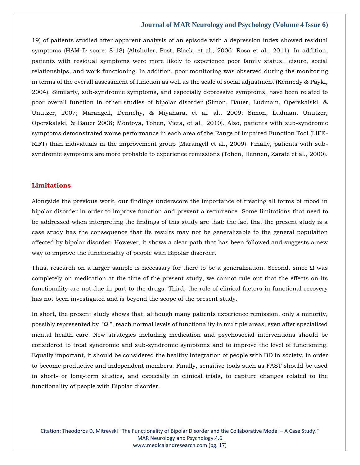19) of patients studied after apparent analysis of an episode with a depression index showed residual symptoms (HAM-D score: 8-18) (Altshuler, Post, Black, et al., 2006; Rosa et al., 2011). In addition, patients with residual symptoms were more likely to experience poor family status, leisure, social relationships, and work functioning. In addition, poor monitoring was observed during the monitoring in terms of the overall assessment of function as well as the scale of social adjustment (Kennedy & Paykl, 2004). Similarly, sub-syndromic symptoms, and especially depressive symptoms, have been related to poor overall function in other studies of bipolar disorder (Simon, Bauer, Ludmam, Operskalski, & Unutzer, 2007; Marangell, Dennehy, & Miyahara, et al. al., 2009; Simon, Ludman, Unutzer, Operskalski, & Bauer 2008; Montoya, Tohen, Vieta, et al., 2010). Also, patients with sub-syndromic symptoms demonstrated worse performance in each area of the Range of Impaired Function Tool (LIFE-RIFT) than individuals in the improvement group (Marangell et al., 2009). Finally, patients with subsyndromic symptoms are more probable to experience remissions (Tohen, Hennen, Zarate et al., 2000).

## **Limitations**

Alongside the previous work, our findings underscore the importance of treating all forms of mood in bipolar disorder in order to improve function and prevent a recurrence. Some limitations that need to be addressed when interpreting the findings of this study are that: the fact that the present study is a case study has the consequence that its results may not be generalizable to the general population affected by bipolar disorder. However, it shows a clear path that has been followed and suggests a new way to improve the functionality of people with Bipolar disorder.

Thus, research on a larger sample is necessary for there to be a generalization. Second, since  $\Omega$  was completely on medication at the time of the present study, we cannot rule out that the effects on its functionality are not due in part to the drugs. Third, the role of clinical factors in functional recovery has not been investigated and is beyond the scope of the present study.

In short, the present study shows that, although many patients experience remission, only a minority, possibly represented by "Ω ", reach normal levels of functionality in multiple areas, even after specialized mental health care. New strategies including medication and psychosocial interventions should be considered to treat syndromic and sub-syndromic symptoms and to improve the level of functioning. Equally important, it should be considered the healthy integration of people with BD in society, in order to become productive and independent members. Finally, sensitive tools such as FAST should be used in short- or long-term studies, and especially in clinical trials, to capture changes related to the functionality of people with Bipolar disorder.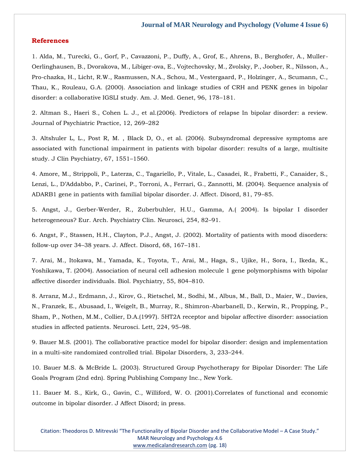# **References**

1. Alda, M., Turecki, G., Gorf, P., Cavazzoni, P., Duffy, A., Grof, E., Ahrens, B., Berghofer, A., Muller-Oerlinghausen, B., Dvorakova, M., Libiger-ova, E., Vojtechovsky, M., Zvolsky, P., Joober, R., Nilsson, A., Pro-chazka, H., Licht, R.W., Rasmussen, N.A., Schou, M., Vestergaard, P., Holzinger, A., Scumann, C., Thau, K., Rouleau, G.A. (2000). Association and linkage studies of CRH and PENK genes in bipolar disorder: a collaborative IGSLI study. Am. J. Med. Genet, 96, 178–181.

2. Altman S., Haeri S., Cohen L. J., et al.(2006). Predictors of relapse In bipolar disorder: a review. Journal of Psychiatric Practice, 12, 269–282

3. Altshuler L, L., Post R, M. , Black D, O., et al. (2006). Subsyndromal depressive symptoms are associated with functional impairment in patients with bipolar disorder: results of a large, multisite study. J Clin Psychiatry, 67, 1551–1560.

4. Amore, M., Strippoli, P., Laterza, C., Tagariello, P., Vitale, L., Casadei, R., Frabetti, F., Canaider, S., Lenzi, L., D'Addabbo, P., Carinei, P., Torroni, A., Ferrari, G., Zannotti, M. (2004). Sequence analysis of ADARB1 gene in patients with familial bipolar disorder. J. Affect. Disord, 81, 79–85.

5. Angst, J., Gerber-Werder, R., Zuberbuhler, H.U., Gamma, A.( 2004). Is bipolar I disorder heterogeneous? Eur. Arch. Psychiatry Clin. Neurosci, 254, 82–91.

6. Angst, F., Stassen, H.H., Clayton, P.J., Angst, J. (2002). Mortality of patients with mood disorders: follow-up over 34–38 years. J. Affect. Disord, 68, 167–181.

7. Arai, M., Itokawa, M., Yamada, K., Toyota, T., Arai, M., Haga, S., Ujike, H., Sora, I., Ikeda, K., Yoshikawa, T. (2004). Association of neural cell adhesion molecule 1 gene polymorphisms with bipolar affective disorder individuals. Biol. Psychiatry, 55, 804–810.

8. Arranz, M.J., Erdmann, J., Kirov, G., Rietschel, M., Sodhi, M., Albus, M., Ball, D., Maier, W., Davies, N., Franzek, E., Abusaad, I., Weigelt, B., Murray, R., Shimron-Abarbanell, D., Kerwin, R., Propping, P., Sham, P., Nothen, M.M., Collier, D.A.(1997). 5HT2A receptor and bipolar affective disorder: association studies in affected patients. Neurosci. Lett, 224, 95–98.

9. Bauer M.S. (2001). The collaborative practice model for bipolar disorder: design and implementation in a multi-site randomized controlled trial. Bipolar Disorders, 3, 233–244.

10. Bauer M.S. & McBride L. (2003). Structured Group Psychotherapy for Bipolar Disorder: The Life Goals Program (2nd edn). Spring Publishing Company Inc., New York.

11. Bauer M. S., Kirk, G., Gavin, C., Williford, W. O. (2001).Correlates of functional and economic outcome in bipolar disorder. J Affect Disord; in press.

Citation: Theodoros D. Mitrevski "The Functionality of Bipolar Disorder and the Collaborative Model – A Case Study." MAR Neurology and Psychology.4.6 [www.medicalandresearch.com](http://www.medicalandresearch.com/) (pg. 18)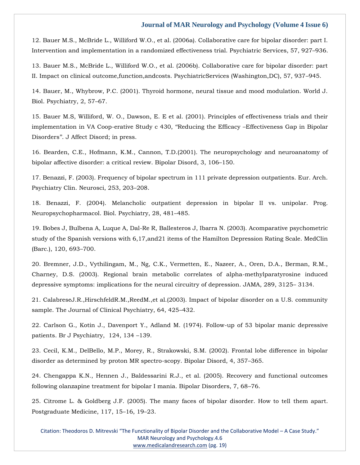12. Bauer M.S., McBride L., Williford W.O., et al. (2006a). Collaborative care for bipolar disorder: part I. Intervention and implementation in a randomized effectiveness trial. Psychiatric Services, 57, 927–936.

13. Bauer M.S., McBride L., Williford W.O., et al. (2006b). Collaborative care for bipolar disorder: part II. Impact on clinical outcome,function,andcosts. PsychiatricServices (Washington,DC), 57, 937–945.

14. Bauer, M., Whybrow, P.C. (2001). Thyroid hormone, neural tissue and mood modulation. World J. Biol. Psychiatry, 2, 57–67.

15. Bauer M.S, Williford, W. O., Dawson, E. E et al. (2001). Principles of effectiveness trials and their implementation in VA Coop-erative Study c 430, ''Reducing the Efficacy –Effectiveness Gap in Bipolar Disorders''. J Affect Disord; in press.

16. Bearden, C.E., Hofmann, K.M., Cannon, T.D.(2001). The neuropsychology and neuroanatomy of bipolar affective disorder: a critical review. Bipolar Disord, 3, 106–150.

17. Benazzi, F. (2003). Frequency of bipolar spectrum in 111 private depression outpatients. Eur. Arch. Psychiatry Clin. Neurosci, 253, 203–208.

18. Benazzi, F. (2004). Melancholic outpatient depression in bipolar II vs. unipolar. Prog. Neuropsychopharmacol. Biol. Psychiatry, 28, 481–485.

19. Bobes J, Bulbena A, Luque A, Dal-Re R, Ballesteros J, Ibarra N. (2003). Acomparative psychometric study of the Spanish versions with 6,17,and21 items of the Hamilton Depression Rating Scale. MedClin (Barc.), 120, 693–700.

20. Bremner, J.D., Vythilingam, M., Ng, C.K., Vermetten, E., Nazeer, A., Oren, D.A., Berman, R.M., Charney, D.S. (2003). Regional brain metabolic correlates of alpha-methylparatyrosine induced depressive symptoms: implications for the neural circuitry of depression. JAMA, 289, 3125– 3134.

21. CalabreseJ.R.,HirschfeldR.M.,ReedM.,et al.(2003). Impact of bipolar disorder on a U.S. community sample. The Journal of Clinical Psychiatry, 64, 425–432.

22. Carlson G., Kotin J., Davenport Y., Adland M. (1974). Follow-up of 53 bipolar manic depressive patients. Br J Psychiatry, 124, 134 –139.

23. Cecil, K.M., DelBello, M.P., Morey, R., Strakowski, S.M. (2002). Frontal lobe difference in bipolar disorder as determined by proton MR spectro-scopy. Bipolar Disord, 4, 357–365.

24. Chengappa K.N., Hennen J., Baldessarini R.J., et al. (2005). Recovery and functional outcomes following olanzapine treatment for bipolar I mania. Bipolar Disorders, 7, 68–76.

25. Citrome L. & Goldberg J.F. (2005). The many faces of bipolar disorder. How to tell them apart. Postgraduate Medicine, 117, 15–16, 19–23.

Citation: Theodoros D. Mitrevski "The Functionality of Bipolar Disorder and the Collaborative Model – A Case Study." MAR Neurology and Psychology.4.6 [www.medicalandresearch.com](http://www.medicalandresearch.com/) (pg. 19)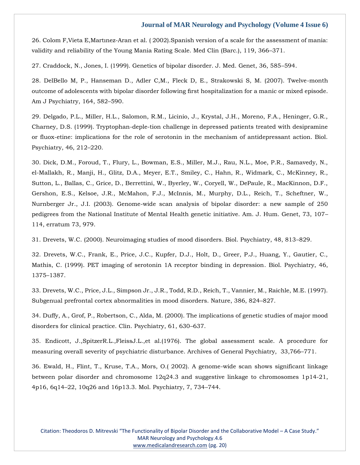26. Colom F,Vieta E,Martınez-Aran et al. ( 2002).Spanish version of a scale for the assessment of mania: validity and reliability of the Young Mania Rating Scale. Med Clin (Barc.), 119, 366–371.

27. Craddock, N., Jones, I. (1999). Genetics of bipolar disorder. J. Med. Genet, 36, 585–594.

28. DelBello M, P., Hanseman D., Adler C,M., Fleck D, E., Strakowski S, M. (2007). Twelve-month outcome of adolescents with bipolar disorder following first hospitalization for a manic or mixed episode. Am J Psychiatry, 164, 582–590.

29. Delgado, P.L., Miller, H.L., Salomon, R.M., Licinio, J., Krystal, J.H., Moreno, F.A., Heninger, G.R., Charney, D.S. (1999). Tryptophan-deple-tion challenge in depressed patients treated with desipramine or fluox-etine: implications for the role of serotonin in the mechanism of antidepressant action. Biol. Psychiatry, 46, 212–220.

30. Dick, D.M., Foroud, T., Flury, L., Bowman, E.S., Miller, M.J., Rau, N.L., Moe, P.R., Samavedy, N., el-Mallakh, R., Manji, H., Glitz, D.A., Meyer, E.T., Smiley, C., Hahn, R., Widmark, C., McKinney, R., Sutton, L., Ballas, C., Grice, D., Berrettini, W., Byerley, W., Coryell, W., DePaule, R., MacKinnon, D.F., Gershon, E.S., Kelsoe, J.R., McMahon, F.J., McInnis, M., Murphy, D.L., Reich, T., Scheftner, W., Nurnberger Jr., J.I. (2003). Genome-wide scan analysis of bipolar disorder: a new sample of 250 pedigrees from the National Institute of Mental Health genetic initiative. Am. J. Hum. Genet, 73, 107– 114, erratum 73, 979.

31. Drevets, W.C. (2000). Neuroimaging studies of mood disorders. Biol. Psychiatry, 48, 813–829.

32. Drevets, W.C., Frank, E., Price, J.C., Kupfer, D.J., Holt, D., Greer, P.J., Huang, Y., Gautier, C., Mathis, C. (1999). PET imaging of serotonin 1A receptor binding in depression. Biol. Psychiatry, 46, 1375–1387.

33. Drevets, W.C., Price, J.L., Simpson Jr., J.R., Todd, R.D., Reich, T., Vannier, M., Raichle, M.E. (1997). Subgenual prefrontal cortex abnormalities in mood disorders. Nature, 386, 824–827.

34. Duffy, A., Grof, P., Robertson, C., Alda, M. (2000). The implications of genetic studies of major mood disorders for clinical practice. Clin. Psychiatry, 61, 630–637.

35. Endicott, J.,SpitzerR.L.,FleissJ.L.,et al.(1976). The global assessment scale. A procedure for measuring overall severity of psychiatric disturbance. Archives of General Psychiatry, 33,766–771.

36. Ewald, H., Flint, T., Kruse, T.A., Mors, O.( 2002). A genome-wide scan shows significant linkage between polar disorder and chromosome 12q24.3 and suggestive linkage to chromosomes 1p14-21, 4p16, 6q14–22, 10q26 and 16p13.3. Mol. Psychiatry, 7, 734–744.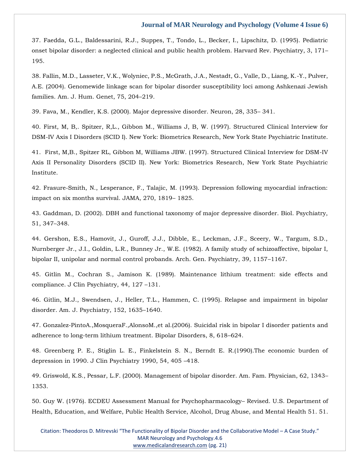37. Faedda, G.L., Baldessarini, R.J., Suppes, T., Tondo, L., Becker, I., Lipschitz, D. (1995). Pediatric onset bipolar disorder: a neglected clinical and public health problem. Harvard Rev. Psychiatry, 3, 171– 195.

38. Fallin, M.D., Lasseter, V.K., Wolyniec, P.S., McGrath, J.A., Nestadt, G., Valle, D., Liang, K.-Y., Pulver, A.E. (2004). Genomewide linkage scan for bipolar disorder susceptibility loci among Ashkenazi Jewish families. Am. J. Hum. Genet, 75, 204–219.

39. Fava, M., Kendler, K.S. (2000). Major depressive disorder. Neuron, 28, 335– 341.

40. First, M, B,. Spitzer, R,L., Gibbon M., Williams J, B, W. (1997). Structured Clinical Interview for DSM-IV Axis I Disorders (SCID I). New York: Biometrics Research, New York State Psychiatric Institute.

41. First, M,B., Spitzer RL, Gibbon M, Williams JBW. (1997). Structured Clinical Interview for DSM-IV Axis II Personality Disorders (SCID II). New York: Biometrics Research, New York State Psychiatric Institute.

42. Frasure-Smith, N., Lesperance, F., Talajic, M. (1993). Depression following myocardial infraction: impact on six months survival. JAMA, 270, 1819– 1825.

43. Gaddman, D. (2002). DBH and functional taxonomy of major depressive disorder. Biol. Psychiatry, 51, 347–348.

44. Gershon, E.S., Hamovit, J., Guroff, J.J., Dibble, E., Leckman, J.F., Sceery, W., Targum, S.D., Nurnberger Jr., J.I., Goldin, L.R., Bunney Jr., W.E. (1982). A family study of schizoaffective, bipolar I, bipolar II, unipolar and normal control probands. Arch. Gen. Psychiatry, 39, 1157–1167.

45. Gitlin M., Cochran S., Jamison K. (1989). Maintenance lithium treatment: side effects and compliance. J Clin Psychiatry, 44, 127 –131.

46. Gitlin, M.J., Swendsen, J., Heller, T.L., Hammen, C. (1995). Relapse and impairment in bipolar disorder. Am. J. Psychiatry, 152, 1635–1640.

47. Gonzalez-PintoA.,MosqueraF.,AlonsoM.,et al.(2006). Suicidal risk in bipolar I disorder patients and adherence to long-term lithium treatment. Bipolar Disorders, 8, 618–624.

48. Greenberg P. E., Stiglin L. E., Finkelstein S. N., Berndt E. R.(1990).The economic burden of depression in 1990. J Clin Psychiatry 1990, 54, 405 –418.

49. Griswold, K.S., Pessar, L.F. (2000). Management of bipolar disorder. Am. Fam. Physician, 62, 1343– 1353.

50. Guy W. (1976). ECDEU Assessment Manual for Psychopharmacology– Revised. U.S. Department of Health, Education, and Welfare, Public Health Service, Alcohol, Drug Abuse, and Mental Health 51. 51.

Citation: Theodoros D. Mitrevski "The Functionality of Bipolar Disorder and the Collaborative Model – A Case Study." MAR Neurology and Psychology.4.6 [www.medicalandresearch.com](http://www.medicalandresearch.com/) (pg. 21)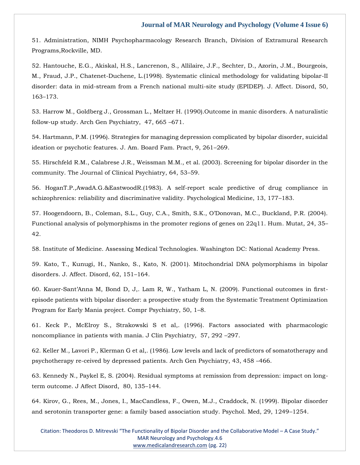51. Administration, NIMH Psychopharmacology Research Branch, Division of Extramural Research Programs,Rockville, MD.

52. Hantouche, E.G., Akiskal, H.S., Lancrenon, S., Allilaire, J.F., Sechter, D., Azorin, J.M., Bourgeois, M., Fraud, J.P., Chatenet-Duchene, L.(1998). Systematic clinical methodology for validating bipolar-II disorder: data in mid-stream from a French national multi-site study (EPIDEP). J. Affect. Disord, 50, 163–173.

53. Harrow M., Goldberg J., Grossman L., Meltzer H. (1990).Outcome in manic disorders. A naturalistic follow-up study. Arch Gen Psychiatry, 47, 665 –671.

54. Hartmann, P.M. (1996). Strategies for managing depression complicated by bipolar disorder, suicidal ideation or psychotic features. J. Am. Board Fam. Pract, 9, 261–269.

55. Hirschfeld R.M., Calabrese J.R., Weissman M.M., et al. (2003). Screening for bipolar disorder in the community. The Journal of Clinical Psychiatry, 64, 53–59.

56. HoganT.P.,AwadA.G.&EastwoodR.(1983). A self-report scale predictive of drug compliance in schizophrenics: reliability and discriminative validity. Psychological Medicine, 13, 177–183.

57. Hoogendoorn, B., Coleman, S.L., Guy, C.A., Smith, S.K., O'Donovan, M.C., Buckland, P.R. (2004). Functional analysis of polymorphisms in the promoter regions of genes on 22q11. Hum. Mutat, 24, 35– 42.

58. Institute of Medicine. Assessing Medical Technologies. Washington DC: National Academy Press.

59. Kato, T., Kunugi, H., Nanko, S., Kato, N. (2001). Mitochondrial DNA polymorphisms in bipolar disorders. J. Affect. Disord, 62, 151–164.

60. Kauer-Sant'Anna M, Bond D, J,. Lam R, W., Yatham L, N. (2009). Functional outcomes in firstepisode patients with bipolar disorder: a prospective study from the Systematic Treatment Optimization Program for Early Mania project. Compr Psychiatry, 50, 1–8.

61. Keck P., McElroy S., Strakowski S et al,. (1996). Factors associated with pharmacologic noncompliance in patients with mania. J Clin Psychiatry, 57, 292 –297.

62. Keller M., Lavori P., Klerman G et al,. (1986). Low levels and lack of predictors of somatotherapy and psychotherapy re-ceived by depressed patients. Arch Gen Psychiatry, 43, 458 –466.

63. Kennedy N., Paykel E, S. (2004). Residual symptoms at remission from depression: impact on longterm outcome. J Affect Disord, 80, 135–144.

64. Kirov, G., Rees, M., Jones, I., MacCandless, F., Owen, M.J., Craddock, N. (1999). Bipolar disorder and serotonin transporter gene: a family based association study. Psychol. Med, 29, 1249–1254.

Citation: Theodoros D. Mitrevski "The Functionality of Bipolar Disorder and the Collaborative Model – A Case Study." MAR Neurology and Psychology.4.6 [www.medicalandresearch.com](http://www.medicalandresearch.com/) (pg. 22)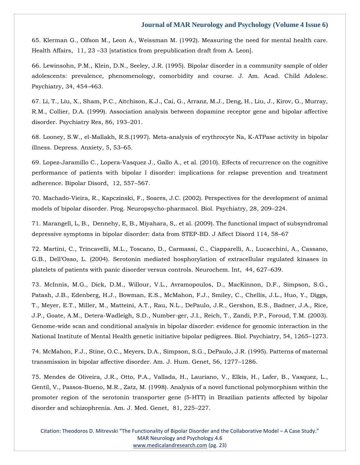65. Klerman G., Olfson M., Leon A., Weissman M. (1992). Measuring the need for mental health care. Health Affairs, 11, 23 –33 [statistics from prepublication draft from A. Leon].

66. Lewinsohn, P.M., Klein, D.N., Seeley, J.R. (1995). Bipolar disorder in a community sample of older adolescents: prevalence, phenomenology, comorbidity and course. J. Am. Acad. Child Adolesc. Psychiatry, 34, 454–463.

67. Li, T., Liu, X., Sham, P.C., Aitchison, K.J., Cai, G., Arranz, M.J., Deng, H., Liu, J., Kirov, G., Murray, R.M., Collier, D.A. (1999). Association analysis between dopamine receptor gene and bipolar affective disorder. Psychiatry Res, 86, 193–201.

68. Looney, S.W., el-Mallakh, R.S.(1997). Meta-analysis of erythrocyte Na, K-ATPase activity in bipolar illness. Depress. Anxiety, 5, 53–65.

69. Lopez-Jaramillo C., Lopera-Vasquez J., Gallo A., et al. (2010). Effects of recurrence on the cognitive performance of patients with bipolar I disorder: implications for relapse prevention and treatment adherence. Bipolar Disord, 12, 557–567.

70. Machado-Vieira, R., Kapczinski, F., Soares, J.C. (2002). Perspectives for the development of animal models of bipolar disorder. Prog. Neuropsycho-pharmacol. Biol. Psychiatry, 28, 209–224.

71. Marangell, L, B., Dennehy, E, B., Miyahara, S,. et al. (2009). The functional impact of subsyndromal depressive symptoms in bipolar disorder: data from STEP-BD. J Affect Disord 114, 58–67

72. Martini, C., Trincavelli, M.L., Toscano, D., Carmassi, C., Ciapparelli, A., Lucacchini, A., Cassano, G.B., Dell'Osso, L. (2004). Serotonin mediated hosphorylation of extracellular regulated kinases in platelets of patients with panic disorder versus controls. Neurochem. Int, 44, 627–639.

73. McInnis, M.G., Dick, D.M., Willour, V.L., Avramopoulos, D., MacKinnon, D.F., Simpson, S.G., Patash, J.B., Edenberg, H.J., Bowman, E.S., McMahon, F.J., Smiley, C., Chellis, J.L., Huo, Y., Diggs, T., Meyer, E.T., Miller, M., Matteini, A.T., Rau, N.L., DePaulo, J.R., Gershon, E.S., Badner, J.A., Rice, J.P., Goate, A.M., Detera-Wadleigh, S.D., Number-ger, J.I., Reich, T., Zandi, P.P., Foroud, T.M. (2003). Genome-wide scan and conditional analysis in bipolar disorder: evidence for genomic interaction in the National Institute of Mental Health genetic initiative bipolar pedigrees. Biol. Psychiatry, 54, 1265–1273.

74. McMahon, F.J., Stine, O.C., Meyers, D.A., Simpson, S.G., DePaulo, J.R. (1995). Patterns of maternal transmission in bipolar affective disorder. Am. J. Hum. Genet, 56, 1277–1286.

75. Mendes de Oliveira, J.R., Otto, P.A., Vallada, H., Lauriano, V., Elkis, H., Lafer, B., Vasquez, L., Gentil, V., Passos-Bueno, M.R., Zatz, M. (1998). Analysis of a novel functional polymorphism within the promoter region of the serotonin transporter gene (5-HTT) in Brazilian patients affected by bipolar disorder and schizophrenia. Am. J. Med. Genet, 81, 225–227.

Citation: Theodoros D. Mitrevski "The Functionality of Bipolar Disorder and the Collaborative Model – A Case Study." MAR Neurology and Psychology.4.6 [www.medicalandresearch.com](http://www.medicalandresearch.com/) (pg. 23)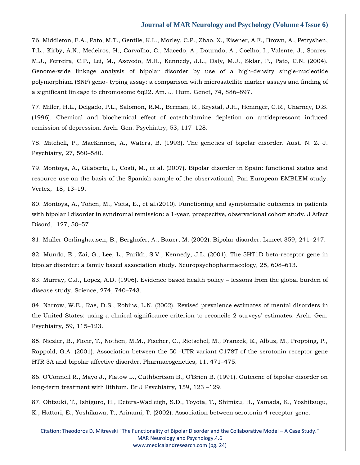76. Middleton, F.A., Pato, M.T., Gentile, K.L., Morley, C.P., Zhao, X., Eisener, A.F., Brown, A., Petryshen, T.L., Kirby, A.N., Medeiros, H., Carvalho, C., Macedo, A., Dourado, A., Coelho, I., Valente, J., Soares, M.J., Ferreira, C.P., Lei, M., Azevedo, M.H., Kennedy, J.L., Daly, M.J., Sklar, P., Pato, C.N. (2004). Genome-wide linkage analysis of bipolar disorder by use of a high-density single-nucleotide polymorphism (SNP) geno- typing assay: a comparison with microsatellite marker assays and finding of a significant linkage to chromosome 6q22. Am. J. Hum. Genet, 74, 886–897.

77. Miller, H.L., Delgado, P.L., Salomon, R.M., Berman, R., Krystal, J.H., Heninger, G.R., Charney, D.S. (1996). Chemical and biochemical effect of catecholamine depletion on antidepressant induced remission of depression. Arch. Gen. Psychiatry, 53, 117–128.

78. Mitchell, P., MacKinnon, A., Waters, B. (1993). The genetics of bipolar disorder. Aust. N. Z. J. Psychiatry, 27, 560–580.

79. Montoya, A., Gilaberte, I., Costi, M., et al. (2007). Bipolar disorder in Spain: functional status and resource use on the basis of the Spanish sample of the observational, Pan European EMBLEM study. Vertex, 18, 13–19.

80. Montoya, A., Tohen, M., Vieta, E., et al.(2010). Functioning and symptomatic outcomes in patients with bipolar I disorder in syndromal remission: a 1-year, prospective, observational cohort study. J Affect Disord, 127, 50–57

81. Muller-Oerlinghausen, B., Berghofer, A., Bauer, M. (2002). Bipolar disorder. Lancet 359, 241–247.

82. Mundo, E., Zai, G., Lee, L., Parikh, S.V., Kennedy, J.L. (2001). The 5HT1D beta-receptor gene in bipolar disorder: a family based association study. Neuropsychopharmacology, 25, 608–613.

83. Murray, C.J., Lopez, A.D. (1996). Evidence based health policy – lessons from the global burden of disease study. Science, 274, 740–743.

84. Narrow, W.E., Rae, D.S., Robins, L.N. (2002). Revised prevalence estimates of mental disorders in the United States: using a clinical significance criterion to reconcile 2 surveys' estimates. Arch. Gen. Psychiatry, 59, 115–123.

85. Niesler, B., Flohr, T., Nothen, M.M., Fischer, C., Rietschel, M., Franzek, E., Albus, M., Propping, P., Rappold, G.A. (2001). Association between the 50 -UTR variant C178T of the serotonin receptor gene HTR 3A and bipolar affective disorder. Pharmacogenetics, 11, 471–475.

86. O'Connell R., Mayo J., Flatow L., Cuthbertson B., O'Brien B. (1991). Outcome of bipolar disorder on long-term treatment with lithium. Br J Psychiatry, 159, 123 –129.

87. Ohtsuki, T., Ishiguro, H., Detera-Wadleigh, S.D., Toyota, T., Shimizu, H., Yamada, K., Yoshitsugu, K., Hattori, E., Yoshikawa, T., Arinami, T. (2002). Association between serotonin 4 receptor gene.

Citation: Theodoros D. Mitrevski "The Functionality of Bipolar Disorder and the Collaborative Model – A Case Study." MAR Neurology and Psychology.4.6 [www.medicalandresearch.com](http://www.medicalandresearch.com/) (pg. 24)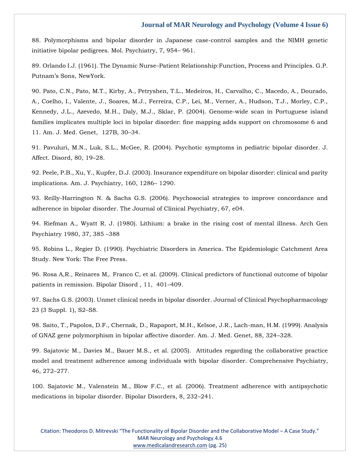88. Polymorphisms and bipolar disorder in Japanese case-control samples and the NIMH genetic initiative bipolar pedigrees. Mol. Psychiatry, 7, 954– 961.

89. Orlando I.J. (1961). The Dynamic Nurse–Patient Relationship:Function, Process and Principles. G.P. Putnam's Sons, NewYork.

90. Pato, C.N., Pato, M.T., Kirby, A., Petryshen, T.L., Medeiros, H., Carvalho, C., Macedo, A., Dourado, A., Coelho, I., Valente, J., Soares, M.J., Ferreira, C.P., Lei, M., Verner, A., Hudson, T.J., Morley, C.P., Kennedy, J.L., Azevedo, M.H., Daly, M.J., Sklar, P. (2004). Genome-wide scan in Portuguese island families implicates multiple loci in bipolar disorder: fine mapping adds support on chromosome 6 and 11. Am. J. Med. Genet, 127B, 30–34.

91. Pavuluri, M.N., Luk, S.L., McGee, R. (2004). Psychotic symptoms in pediatric bipolar disorder. J. Affect. Disord, 80, 19–28.

92. Peele, P.B., Xu, Y., Kupfer, D.J. (2003). Insurance expenditure on bipolar disorder: clinical and parity implications. Am. J. Psychiatry, 160, 1286– 1290.

93. Reilly-Harrington N. & Sachs G.S. (2006). Psychosocial strategies to improve concordance and adherence in bipolar disorder. The Journal of Clinical Psychiatry, 67, e04.

94. Riefman A., Wyatt R. J. (1980). Lithium: a brake in the rising cost of mental illness. Arch Gen Psychiatry 1980, 37, 385 –388

95. Robins L., Regier D. (1990). Psychiatric Disorders in America. The Epidemiologic Catchment Area Study. New York: The Free Press.

96. Rosa A,R., Reinares M,. Franco C, et al. (2009). Clinical predictors of functional outcome of bipolar patients in remission. Bipolar Disord , 11, 401–409.

97. Sachs G.S. (2003). Unmet clinical needs in bipolar disorder. Journal of Clinical Psychopharmacology 23 (3 Suppl. 1), S2–S8.

98. Saito, T., Papolos, D.F., Chernak, D., Rapaport, M.H., Kelsoe, J.R., Lach-man, H.M. (1999). Analysis of GNAZ gene polymorphism in bipolar affective disorder. Am. J. Med. Genet, 88, 324–328.

99. Sajatovic M., Davies M., Bauer M.S., et al. (2005). Attitudes regarding the collaborative practice model and treatment adherence among individuals with bipolar disorder. Comprehensive Psychiatry, 46, 272–277.

100. Sajatovic M., Valenstein M., Blow F.C., et al. (2006). Treatment adherence with antipsychotic medications in bipolar disorder. Bipolar Disorders, 8, 232–241.

Citation: Theodoros D. Mitrevski "The Functionality of Bipolar Disorder and the Collaborative Model – A Case Study." MAR Neurology and Psychology.4.6 [www.medicalandresearch.com](http://www.medicalandresearch.com/) (pg. 25)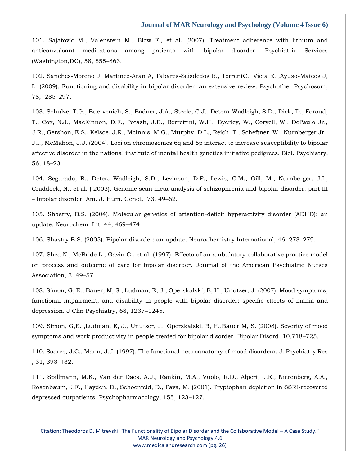101. Sajatovic M., Valenstein M., Blow F., et al. (2007). Treatment adherence with lithium and anticonvulsant medications among patients with bipolar disorder. Psychiatric Services (Washington,DC), 58, 855–863.

102. Sanchez-Moreno J, Martınez-Aran A, Tabares-Seisdedos R., TorrentC., Vieta E. ,Ayuso-Mateos J, L. (2009). Functioning and disability in bipolar disorder: an extensive review. Psychother Psychosom, 78, 285–297.

103. Schulze, T.G., Buervenich, S., Badner, J.A., Steele, C.J., Detera-Wadleigh, S.D., Dick, D., Foroud, T., Cox, N.J., MacKinnon, D.F., Potash, J.B., Berrettini, W.H., Byerley, W., Coryell, W., DePaulo Jr., J.R., Gershon, E.S., Kelsoe, J.R., McInnis, M.G., Murphy, D.L., Reich, T., Scheftner, W., Nurnberger Jr., J.I., McMahon, J.J. (2004). Loci on chromosomes 6q and 6p interact to increase susceptibility to bipolar affective disorder in the national institute of mental health genetics initiative pedigrees. Biol. Psychiatry, 56, 18–23.

104. Segurado, R., Detera-Wadleigh, S.D., Levinson, D.F., Lewis, C.M., Gill, M., Nurnberger, J.I., Craddock, N., et al. ( 2003). Genome scan meta-analysis of schizophrenia and bipolar disorder: part III – bipolar disorder. Am. J. Hum. Genet, 73, 49–62.

105. Shastry, B.S. (2004). Molecular genetics of attention-deficit hyperactivity disorder (ADHD): an update. Neurochem. Int, 44, 469–474.

106. Shastry B.S. (2005). Bipolar disorder: an update. Neurochemistry International, 46, 273–279.

107. Shea N., McBride L., Gavin C., et al. (1997). Effects of an ambulatory collaborative practice model on process and outcome of care for bipolar disorder. Journal of the American Psychiatric Nurses Association, 3, 49–57.

108. Simon, G, E., Bauer, M, S., Ludman, E, J., Operskalski, B, H., Unutzer, J. (2007). Mood symptoms, functional impairment, and disability in people with bipolar disorder: specific effects of mania and depression. J Clin Psychiatry, 68, 1237–1245.

109. Simon, G,E. ,Ludman, E, J., Unutzer, J., Operskalski, B, H.,Bauer M, S. (2008). Severity of mood symptoms and work productivity in people treated for bipolar disorder. Bipolar Disord, 10,718–725.

110. Soares, J.C., Mann, J.J. (1997). The functional neuroanatomy of mood disorders. J. Psychiatry Res , 31, 393–432.

111. Spillmann, M.K., Van der Daes, A.J., Rankin, M.A., Vuolo, R.D., Alpert, J.E., Nierenberg, A.A., Rosenbaum, J.F., Hayden, D., Schoenfeld, D., Fava, M. (2001). Tryptophan depletion in SSRI-recovered depressed outpatients. Psychopharmacology, 155, 123–127.

Citation: Theodoros D. Mitrevski "The Functionality of Bipolar Disorder and the Collaborative Model – A Case Study." MAR Neurology and Psychology.4.6 [www.medicalandresearch.com](http://www.medicalandresearch.com/) (pg. 26)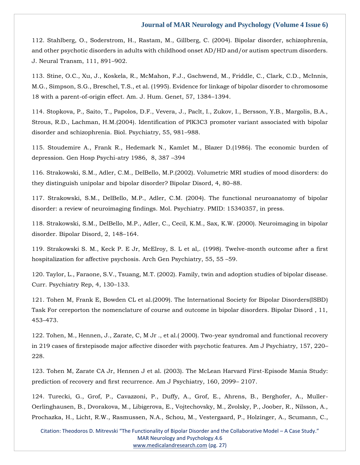112. Stahlberg, O., Soderstrom, H., Rastam, M., Gillberg, C. (2004). Bipolar disorder, schizophrenia, and other psychotic disorders in adults with childhood onset AD/HD and/or autism spectrum disorders. J. Neural Transm, 111, 891–902.

113. Stine, O.C., Xu, J., Koskela, R., McMahon, F.J., Gschwend, M., Friddle, C., Clark, C.D., McInnis, M.G., Simpson, S.G., Breschel, T.S., et al. (1995). Evidence for linkage of bipolar disorder to chromosome 18 with a parent-of-origin effect. Am. J. Hum. Genet, 57, 1384–1394.

114. Stopkova, P., Saito, T., Papolos, D.F., Vevera, J., Paclt, I., Zukov, I., Bersson, Y.B., Margolis, B.A., Strous, R.D., Lachman, H.M.(2004). Identification of PIK3C3 promoter variant associated with bipolar disorder and schizophrenia. Biol. Psychiatry, 55, 981–988.

115. Stoudemire A., Frank R., Hedemark N., Kamlet M., Blazer D.(1986). The economic burden of depression. Gen Hosp Psychi-atry 1986, 8, 387 –394

116. Strakowski, S.M., Adler, C.M., DelBello, M.P.(2002). Volumetric MRI studies of mood disorders: do they distinguish unipolar and bipolar disorder? Bipolar Disord, 4, 80–88.

117. Strakowski, S.M., DelBello, M.P., Adler, C.M. (2004). The functional neuroanatomy of bipolar disorder: a review of neuroimaging findings. Mol. Psychiatry. PMID: 15340357, in press.

118. Strakowski, S.M., DelBello, M.P., Adler, C., Cecil, K.M., Sax, K.W. (2000). Neuroimaging in bipolar disorder. Bipolar Disord, 2, 148–164.

119. Strakowski S. M., Keck P. E Jr, McElroy, S. L et al,. (1998). Twelve-month outcome after a first hospitalization for affective psychosis. Arch Gen Psychiatry, 55, 55 –59.

120. Taylor, L., Faraone, S.V., Tsuang, M.T. (2002). Family, twin and adoption studies of bipolar disease. Curr. Psychiatry Rep, 4, 130–133.

121. Tohen M, Frank E, Bowden CL et al.(2009). The International Society for Bipolar Disorders(ISBD) Task For cereporton the nomenclature of course and outcome in bipolar disorders. Bipolar Disord , 11, 453–473.

122. Tohen, M., Hennen, J., Zarate, C, M Jr ., et al.( 2000). Two-year syndromal and functional recovery in 219 cases of firstepisode major affective disorder with psychotic features. Am J Psychiatry, 157, 220– 228.

123. Tohen M, Zarate CA Jr, Hennen J et al. (2003). The McLean Harvard First-Episode Mania Study: prediction of recovery and first recurrence. Am J Psychiatry, 160, 2099– 2107.

124. Turecki, G., Grof, P., Cavazzoni, P., Duffy, A., Grof, E., Ahrens, B., Berghofer, A., Muller-Oerlinghausen, B., Dvorakova, M., Libigerova, E., Vojtechovsky, M., Zvolsky, P., Joober, R., Nilsson, A., Prochazka, H., Licht, R.W., Rasmussen, N.A., Schou, M., Vestergaard, P., Holzinger, A., Scumann, C.,

Citation: Theodoros D. Mitrevski "The Functionality of Bipolar Disorder and the Collaborative Model – A Case Study." MAR Neurology and Psychology.4.6 [www.medicalandresearch.com](http://www.medicalandresearch.com/) (pg. 27)